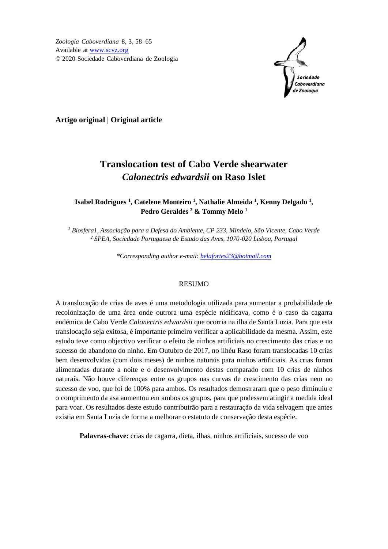*Zoologia Caboverdiana* 8, 3, 58–65 Available at [www.scvz.org](http://www.scvz.org/) © 2020 Sociedade Caboverdiana de Zoologia



**Artigo original | Original article**

# **Translocation test of Cabo Verde shearwater**  *Calonectris edwardsii* **on Raso Islet**

# **Isabel Rodrigues <sup>1</sup> , Catelene Monteiro <sup>1</sup> , Nathalie Almeida <sup>1</sup> , Kenny Delgado <sup>1</sup> , Pedro Geraldes <sup>2</sup> & Tommy Melo <sup>1</sup>**

*<sup>1</sup> Biosfera1, Associação para a Defesa do Ambiente, CP 233, Mindelo, São Vicente, Cabo Verde <sup>2</sup> SPEA, Sociedade Portuguesa de Estudo das Aves, 1070-020 Lisboa, Portugal*

*\*Corresponding author e-mail: [belafortes23@hotmail.com](mailto:belafortes23@hotmail.com)*

#### **RESUMO**

A translocação de crias de aves é uma metodologia utilizada para aumentar a probabilidade de recolonização de uma área onde outrora uma espécie nidificava, como é o caso da cagarra endémica de Cabo Verde *Calonectris edwardsii* que ocorria na ilha de Santa Luzia. Para que esta translocação seja exitosa, é importante primeiro verificar a aplicabilidade da mesma. Assim, este estudo teve como objectivo verificar o efeito de ninhos artificiais no crescimento das crias e no sucesso do abandono do ninho. Em Outubro de 2017, no ilhéu Raso foram translocadas 10 crias bem desenvolvidas (com dois meses) de ninhos naturais para ninhos artificiais. As crias foram alimentadas durante a noite e o desenvolvimento destas comparado com 10 crias de ninhos naturais. Não houve diferenças entre os grupos nas curvas de crescimento das crias nem no sucesso de voo, que foi de 100% para ambos. Os resultados demostraram que o peso diminuiu e o comprimento da asa aumentou em ambos os grupos, para que pudessem atingir a medida ideal para voar. Os resultados deste estudo contribuirão para a restauração da vida selvagem que antes existia em Santa Luzia de forma a melhorar o estatuto de conservação desta espécie.

**Palavras-chave:** crias de cagarra, dieta, ilhas*,* ninhos artificiais, sucesso de voo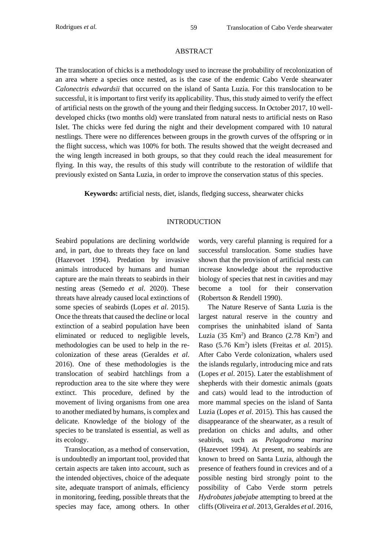#### ABSTRACT

The translocation of chicks is a methodology used to increase the probability of recolonization of an area where a species once nested, as is the case of the endemic Cabo Verde shearwater *Calonectris edwardsii* that occurred on the island of Santa Luzia. For this translocation to be successful, it is important to first verify its applicability. Thus, this study aimed to verify the effect of artificial nests on the growth of the young and their fledging success. In October 2017, 10 welldeveloped chicks (two months old) were translated from natural nests to artificial nests on Raso Islet. The chicks were fed during the night and their development compared with 10 natural nestlings. There were no differences between groups in the growth curves of the offspring or in the flight success, which was 100% for both. The results showed that the weight decreased and the wing length increased in both groups, so that they could reach the ideal measurement for flying. In this way, the results of this study will contribute to the restoration of wildlife that previously existed on Santa Luzia, in order to improve the conservation status of this species.

**Keywords:** artificial nests, diet, islands*,* fledging success, shearwater chicks

## INTRODUCTION

Seabird populations are declining worldwide and, in part, due to threats they face on land (Hazevoet 1994). Predation by invasive animals introduced by humans and human capture are the main threats to seabirds in their nesting areas (Semedo *et al.* 2020). These threats have already caused local extinctions of some species of seabirds (Lopes *et al*. 2015). Once the threats that caused the decline or local extinction of a seabird population have been eliminated or reduced to negligible levels, methodologies can be used to help in the recolonization of these areas (Geraldes *et al*. 2016). One of these methodologies is the translocation of seabird hatchlings from a reproduction area to the site where they were extinct. This procedure, defined by the movement of living organisms from one area to another mediated by humans, is complex and delicate. Knowledge of the biology of the species to be translated is essential, as well as its ecology.

Translocation, as a method of conservation, is undoubtedly an important tool, provided that certain aspects are taken into account, such as the intended objectives, choice of the adequate site, adequate transport of animals, efficiency in monitoring, feeding, possible threats that the species may face, among others. In other

words, very careful planning is required for a successful translocation. Some studies have shown that the provision of artificial nests can increase knowledge about the reproductive biology of species that nest in cavities and may become a tool for their conservation (Robertson & Rendell 1990).

The Nature Reserve of Santa Luzia is the largest natural reserve in the country and comprises the uninhabited island of Santa Luzia (35 Km<sup>2</sup>) and Branco (2.78 Km<sup>2</sup>) and Raso (5.76 Km<sup>2</sup> ) islets (Freitas *et al.* 2015). After Cabo Verde colonization, whalers used the islands regularly, introducing mice and rats (Lopes *et al*. 2015). Later the establishment of shepherds with their domestic animals (goats and cats) would lead to the introduction of more mammal species on the island of Santa Luzia (Lopes *et al*. 2015). This has caused the disappearance of the shearwater, as a result of predation on chicks and adults, and other seabirds, such as *Pelagodroma marina* (Hazevoet 1994). At present, no seabirds are known to breed on Santa Luzia, although the presence of feathers found in crevices and of a possible nesting bird strongly point to the possibility of Cabo Verde storm petrels *Hydrobates jabejabe* attempting to breed at the cliffs (Oliveira *et al*. 2013, Geraldes *et al*. 2016,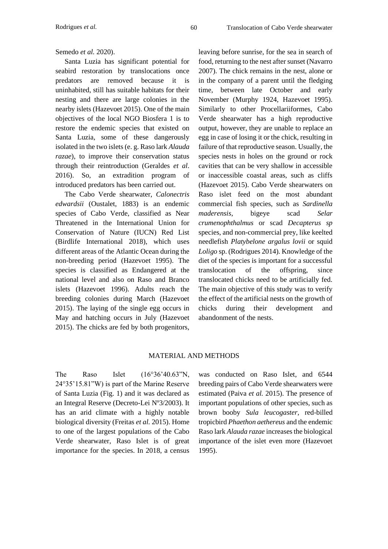# Semedo *et al.* 2020).

Santa Luzia has significant potential for seabird restoration by translocations once predators are removed because it is uninhabited, still has suitable habitats for their nesting and there are large colonies in the nearby islets (Hazevoet 2015). One of the main objectives of the local NGO Biosfera 1 is to restore the endemic species that existed on Santa Luzia, some of these dangerously isolated in the two islets (e. g. Raso lark *Alauda razae*), to improve their conservation status through their reintroduction (Geraldes *et al*. 2016). So, an extradition program of introduced predators has been carried out.

The Cabo Verde shearwater, *Calonectris edwardsii* (Oustalet, 1883) is an endemic species of Cabo Verde, classified as Near Threatened in the International Union for Conservation of Nature (IUCN) Red List (Birdlife International 2018), which uses different areas of the Atlantic Ocean during the non-breeding period (Hazevoet 1995). The species is classified as Endangered at the national level and also on Raso and Branco islets (Hazevoet 1996). Adults reach the breeding colonies during March (Hazevoet 2015). The laying of the single egg occurs in May and hatching occurs in July (Hazevoet 2015). The chicks are fed by both progenitors,

leaving before sunrise, for the sea in search of food, returning to the nest after sunset (Navarro 2007). The chick remains in the nest, alone or in the company of a parent until the fledging time, between late October and early November (Murphy 1924, Hazevoet 1995). Similarly to other Procellariiformes, Cabo Verde shearwater has a high reproductive output, however, they are unable to replace an egg in case of losing it or the chick, resulting in failure of that reproductive season. Usually, the species nests in holes on the ground or rock cavities that can be very shallow in accessible or inaccessible coastal areas, such as cliffs (Hazevoet 2015). Cabo Verde shearwaters on Raso islet feed on the most abundant commercial fish species, such as *Sardinella maderensis*, bigeye scad *Selar crumenophthalmus* or scad *Decapterus sp* species, and non-commercial prey, like keelted needlefish *Platybelone argalus lovii* or squid *Loligo* sp. (Rodrigues 2014). Knowledge of the diet of the species is important for a successful translocation of the offspring, since translocated chicks need to be artificially fed. The main objective of this study was to verify the effect of the artificial nests on the growth of chicks during their development and abandonment of the nests.

# MATERIAL AND METHODS

The Raso Islet (16°36'40.63"N, 24°35'15.81"W) is part of the Marine Reserve of Santa Luzia (Fig. 1) and it was declared as an Integral Reserve (Decreto-Lei Nº3/2003). It has an arid climate with a highly notable biological diversity (Freitas *et al.* 2015). Home to one of the largest populations of the Cabo Verde shearwater, Raso Islet is of great importance for the species. In 2018, a census

was conducted on Raso Islet, and 6544 breeding pairs of Cabo Verde shearwaters were estimated (Paiva *et al.* 2015). The presence of important populations of other species, such as brown booby *Sula leucogaster*, red-billed tropicbird *Phaethon aethereus* and the endemic Raso lark *Alauda razae* increases the biological importance of the islet even more (Hazevoet 1995).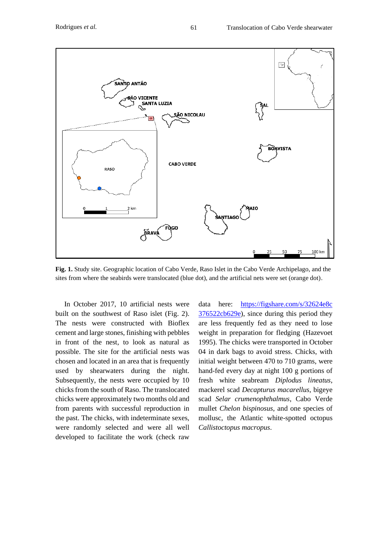

**Fig. 1.** Study site. Geographic location of Cabo Verde, Raso Islet in the Cabo Verde Archipelago, and the sites from where the seabirds were translocated (blue dot), and the artificial nets were set (orange dot).

In October 2017, 10 artificial nests were built on the southwest of Raso islet (Fig. 2). The nests were constructed with Bioflex cement and large stones, finishing with pebbles in front of the nest, to look as natural as possible. The site for the artificial nests was chosen and located in an area that is frequently used by shearwaters during the night. Subsequently, the nests were occupied by 10 chicks from the south of Raso. The translocated chicks were approximately two months old and from parents with successful reproduction in the past. The chicks, with indeterminate sexes, were randomly selected and were all well developed to facilitate the work (check raw

data here: [https://figshare.com/s/32624e8c](https://figshare.com/s/32624e8c%20376522cb629e)  [376522cb629e\)](https://figshare.com/s/32624e8c%20376522cb629e), since during this period they are less frequently fed as they need to lose weight in preparation for fledging (Hazevoet 1995). The chicks were transported in October 04 in dark bags to avoid stress. Chicks, with initial weight between 470 to 710 grams, were hand-fed every day at night 100 g portions of fresh white seabream *Diplodus lineatus*, mackerel scad *Decapturus macarellus*, bigeye scad *Selar crumenophthalmus*, Cabo Verde mullet *Chelon bispinosus*, and one species of mollusc, the Atlantic white-spotted octopus *Callistoctopus macropus*.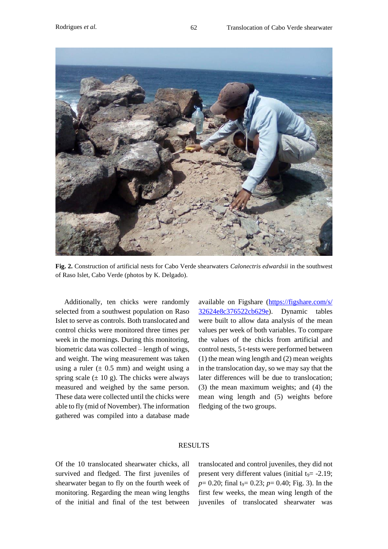

**Fig. 2.** Construction of artificial nests for Cabo Verde shearwaters *Calonectris edwardsii* in the southwest of Raso Islet, Cabo Verde (photos by K. Delgado).

Additionally, ten chicks were randomly selected from a southwest population on Raso Islet to serve as controls. Both translocated and control chicks were monitored three times per week in the mornings. During this monitoring, biometric data was collected – length of wings, and weight. The wing measurement was taken using a ruler  $(\pm 0.5 \text{ mm})$  and weight using a spring scale  $(\pm 10 \text{ g})$ . The chicks were always measured and weighed by the same person. These data were collected until the chicks were able to fly (mid of November). The information gathered was compiled into a database made

available on Figshare [\(https://figshare.com/s/](https://figshare.com/s/%2032624e8c376522cb629e)  [32624e8c376522cb629e\)](https://figshare.com/s/%2032624e8c376522cb629e). Dynamic tables were built to allow data analysis of the mean values per week of both variables. To compare the values of the chicks from artificial and control nests, 5 t-tests were performed between (1) the mean wing length and (2) mean weights in the translocation day, so we may say that the later differences will be due to translocation; (3) the mean maximum weights; and (4) the mean wing length and (5) weights before fledging of the two groups.

## RESULTS

Of the 10 translocated shearwater chicks, all survived and fledged. The first juveniles of shearwater began to fly on the fourth week of monitoring. Regarding the mean wing lengths of the initial and final of the test between

translocated and control juveniles, they did not present very different values (initial  $t<sub>9</sub> = -2.19$ ;  $p= 0.20$ ; final t<sub>9</sub>= 0.23;  $p= 0.40$ ; Fig. 3). In the first few weeks, the mean wing length of the juveniles of translocated shearwater was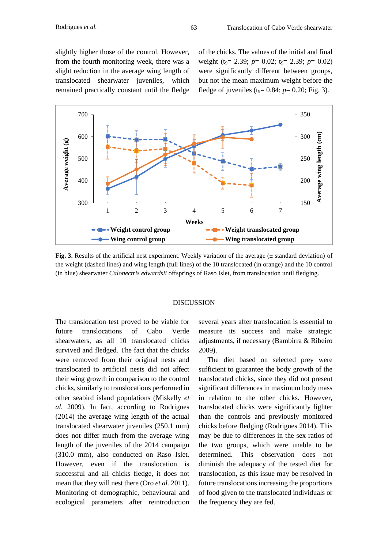slightly higher those of the control. However, from the fourth monitoring week, there was a slight reduction in the average wing length of translocated shearwater juveniles, which remained practically constant until the fledge of the chicks. The values of the initial and final weight (t<sub>9</sub>= 2.39; *p*= 0.02; t<sub>9</sub>= 2.39; *p*= 0.02) were significantly different between groups, but not the mean maximum weight before the fledge of juveniles ( $t_9$ = 0.84;  $p$ = 0.20; Fig. 3).



**Fig. 3.** Results of the artificial nest experiment. Weekly variation of the average ( $\pm$  standard deviation) of the weight (dashed lines) and wing length (full lines) of the 10 translocated (in orange) and the 10 control (in blue) shearwater *Calonectris edwardsii* offsprings of Raso Islet, from translocation until fledging.

## DISCUSSION

The translocation test proved to be viable for future translocations of Cabo Verde shearwaters, as all 10 translocated chicks survived and fledged. The fact that the chicks were removed from their original nests and translocated to artificial nests did not affect their wing growth in comparison to the control chicks, similarly to translocations performed in other seabird island populations (Miskelly *et al.* 2009). In fact, according to Rodrigues (2014) the average wing length of the actual translocated shearwater juveniles (250.1 mm) does not differ much from the average wing length of the juveniles of the 2014 campaign (310.0 mm), also conducted on Raso Islet. However, even if the translocation is successful and all chicks fledge, it does not mean that they will nest there (Oro *et al.* 2011). Monitoring of demographic, behavioural and ecological parameters after reintroduction

several years after translocation is essential to measure its success and make strategic adjustments, if necessary (Bambirra & Ribeiro 2009).

The diet based on selected prey were sufficient to guarantee the body growth of the translocated chicks, since they did not present significant differences in maximum body mass in relation to the other chicks. However, translocated chicks were significantly lighter than the controls and previously monitored chicks before fledging (Rodrigues 2014). This may be due to differences in the sex ratios of the two groups, which were unable to be determined. This observation does not diminish the adequacy of the tested diet for translocation, as this issue may be resolved in future translocations increasing the proportions of food given to the translocated individuals or the frequency they are fed.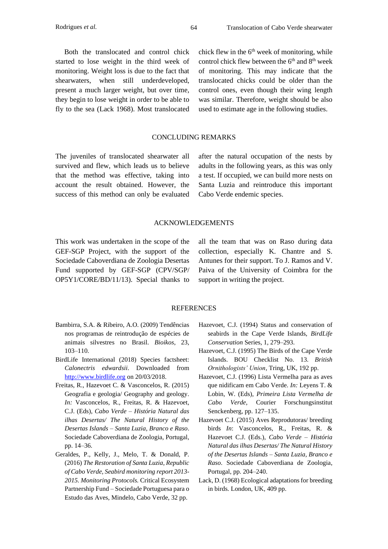Both the translocated and control chick started to lose weight in the third week of monitoring. Weight loss is due to the fact that shearwaters, when still underdeveloped, present a much larger weight, but over time, they begin to lose weight in order to be able to fly to the sea (Lack 1968). Most translocated chick flew in the  $6<sup>th</sup>$  week of monitoring, while control chick flew between the  $6<sup>th</sup>$  and  $8<sup>th</sup>$  week of monitoring. This may indicate that the translocated chicks could be older than the control ones, even though their wing length was similar. Therefore, weight should be also used to estimate age in the following studies.

## CONCLUDING REMARKS

The juveniles of translocated shearwater all survived and flew, which leads us to believe that the method was effective, taking into account the result obtained. However, the success of this method can only be evaluated

after the natural occupation of the nests by adults in the following years, as this was only a test. If occupied, we can build more nests on Santa Luzia and reintroduce this important Cabo Verde endemic species.

#### ACKNOWLEDGEMENTS

This work was undertaken in the scope of the GEF-SGP Project, with the support of the Sociedade Caboverdiana de Zoologia Desertas Fund supported by GEF-SGP (CPV/SGP/ OP5Y1/CORE/BD/11/13). Special thanks to

all the team that was on Raso during data collection, especially K. Chantre and S. Antunes for their support. To J. Ramos and V. Paiva of the University of Coimbra for the support in writing the project.

#### REFERENCES

- Bambirra, S.A. & Ribeiro, A.O. (2009) Tendências nos programas de reintrodução de espécies de animais silvestres no Brasil. *Bioikos*, 23, 103–110.
- BirdLife International (2018) Species factsheet: *Calonectris edwardsii*. Downloaded from [http://www.birdlife.org](http://www.birdlife.org/) on 20/03/2018.
- Freitas, R., Hazevoet C. & Vasconcelos, R. (2015) Geografia e geologia/ Geography and geology. *In:* Vasconcelos, R., Freitas, R. & Hazevoet, C.J. (Eds), *Cabo Verde – História Natural das ilhas Desertas/ The Natural History of the Desertas Islands – Santa Luzia, Branco e Raso*. Sociedade Caboverdiana de Zoologia, Portugal, pp. 14–36.
- Geraldes, P., Kelly, J., Melo, T. & Donald, P. (2016) *The Restoration of Santa Luzia, Republic of Cabo Verde, Seabird monitoring report 2013- 2015. Monitoring Protocols.* Critical Ecosystem Partnership Fund – Sociedade Portuguesa para o Estudo das Aves, Mindelo, Cabo Verde, 32 pp.
- Hazevoet, C.J. (1994) Status and conservation of seabirds in the Cape Verde Islands, *BirdLife Conservation* Series, 1, 279–293.
- Hazevoet, C.J. (1995) The Birds of the Cape Verde Islands. BOU Checklist No. 13. *British Ornithologists' Union*, Tring, UK, 192 pp.
- Hazevoet, C.J. (1996) Lista Vermelha para as aves que nidificam em Cabo Verde. *In:* Leyens T. & Lobin, W. (Eds), *Primeira Lista Vermelha de Cabo Verde*, Courier Forschungsinstitut Senckenberg, pp. 127–135.
- Hazevoet C.J. (2015) Aves Reprodutoras/ breeding birds *In*: Vasconcelos, R., Freitas, R. & Hazevoet C.J. (Eds.), *Cabo Verde – História Natural das ilhas Desertas/ The Natural History of the Desertas Islands – Santa Luzia, Branco e Raso*. Sociedade Caboverdiana de Zoologia, Portugal, pp. 204–240.
- Lack, D. (1968) Ecological adaptations for breeding in birds. London, UK, 409 pp.